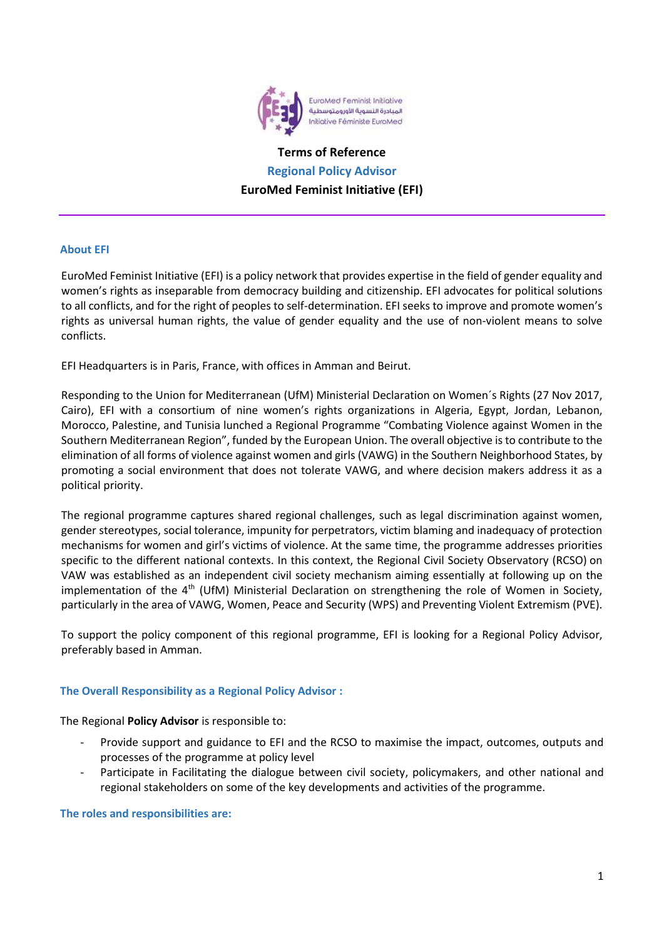

# **Terms of Reference Regional Policy Advisor EuroMed Feminist Initiative (EFI)**

## **About EFI**

EuroMed Feminist Initiative (EFI) is a policy network that provides expertise in the field of gender equality and women's rights as inseparable from democracy building and citizenship. EFI advocates for political solutions to all conflicts, and for the right of peoples to self-determination. EFI seeks to improve and promote women's rights as universal human rights, the value of gender equality and the use of non-violent means to solve conflicts.

EFI Headquarters is in Paris, France, with offices in Amman and Beirut.

Responding to the Union for Mediterranean (UfM) [Ministerial Declaration](https://ufmsecretariat.org/wp-content/uploads/2017/11/womenfinaldeclaration.pdf) on Women´s Rights (27 Nov 2017, Cairo), EFI with a consortium of nine women's rights organizations in Algeria, Egypt, Jordan, Lebanon, Morocco, Palestine, and Tunisia lunched a Regional Programme "Combating Violence against Women in the Southern Mediterranean Region", funded by the European Union. The overall objective is to contribute to the elimination of all forms of violence against women and girls (VAWG) in the Southern Neighborhood States, by promoting a social environment that does not tolerate VAWG, and where decision makers address it as a political priority.

The regional programme captures shared regional challenges, such as legal discrimination against women, gender stereotypes, social tolerance, impunity for perpetrators, victim blaming and inadequacy of protection mechanisms for women and girl's victims of violence. At the same time, the programme addresses priorities specific to the different national contexts. In this context, the Regional Civil Society Observatory (RCSO) on VAW was established as an independent civil society mechanism aiming essentially at following up on the implementation of the 4<sup>th</sup> (UfM) Ministerial Declaration on strengthening the role of Women in Society, particularly in the area of VAWG, Women, Peace and Security (WPS) and Preventing Violent Extremism (PVE).

To support the policy component of this regional programme, EFI is looking for a Regional Policy Advisor, preferably based in Amman.

# **The Overall Responsibility as a Regional Policy Advisor :**

The Regional **Policy Advisor** is responsible to:

- Provide support and guidance to EFI and the RCSO to maximise the impact, outcomes, outputs and processes of the programme at policy level
- Participate in Facilitating the dialogue between civil society, policymakers, and other national and regional stakeholders on some of the key developments and activities of the programme.

## **The roles and responsibilities are:**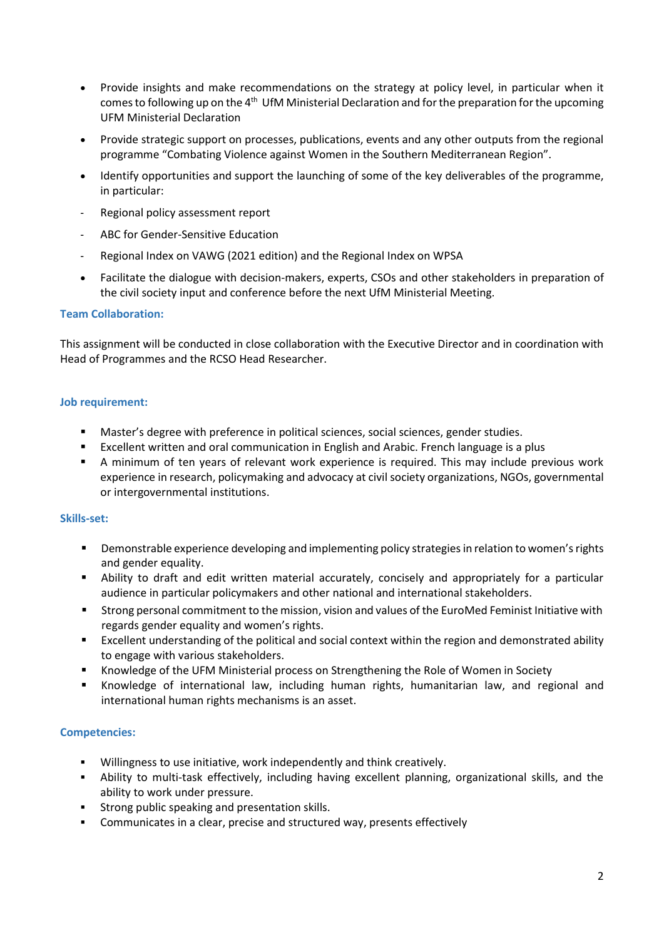- Provide insights and make recommendations on the strategy at policy level, in particular when it comes to following up on the 4<sup>th</sup> UfM Ministerial Declaration and for the preparation for the upcoming UFM Ministerial Declaration
- Provide strategic support on processes, publications, events and any other outputs from the regional programme "Combating Violence against Women in the Southern Mediterranean Region".
- Identify opportunities and support the launching of some of the key deliverables of the programme, in particular:
- Regional policy assessment report
- ABC for Gender-Sensitive Education
- Regional Index on VAWG (2021 edition) and the Regional Index on WPSA
- Facilitate the dialogue with decision-makers, experts, CSOs and other stakeholders in preparation of the civil society input and conference before the next UfM Ministerial Meeting.

## **Team Collaboration:**

This assignment will be conducted in close collaboration with the Executive Director and in coordination with Head of Programmes and the RCSO Head Researcher.

## **Job requirement:**

- Master's degree with preference in political sciences, social sciences, gender studies.
- Excellent written and oral communication in English and Arabic. French language is a plus
- A minimum of ten years of relevant work experience is required. This may include previous work experience in research, policymaking and advocacy at civil society organizations, NGOs, governmental or intergovernmental institutions.

## **Skills-set:**

- **•** Demonstrable experience developing and implementing policy strategies in relation to women's rights and gender equality.
- **E** Ability to draft and edit written material accurately, concisely and appropriately for a particular audience in particular policymakers and other national and international stakeholders.
- Strong personal commitment to the mission, vision and values of the EuroMed Feminist Initiative with regards gender equality and women's rights.
- Excellent understanding of the political and social context within the region and demonstrated ability to engage with various stakeholders.
- Knowledge of the UFM Ministerial process on Strengthening the Role of Women in Society
- Knowledge of international law, including human rights, humanitarian law, and regional and international human rights mechanisms is an asset.

# **Competencies:**

- Willingness to use initiative, work independently and think creatively.
- Ability to multi-task effectively, including having excellent planning, organizational skills, and the ability to work under pressure.
- **EXECT:** Strong public speaking and presentation skills.
- Communicates in a clear, precise and structured way, presents effectively